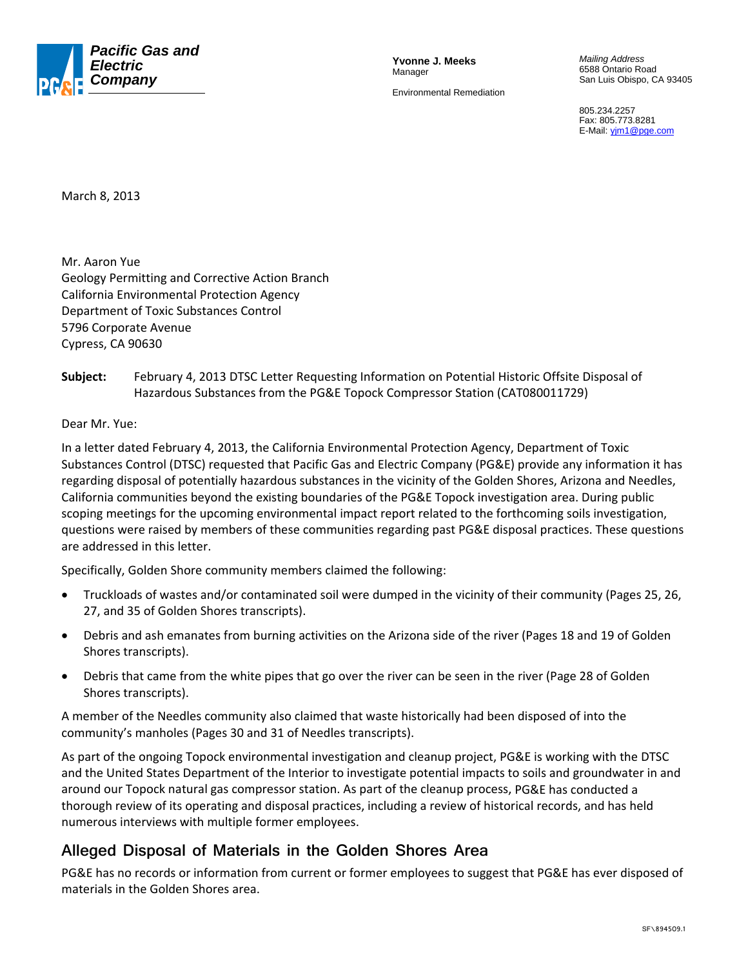

**Yvonne J. Meeks**  Manager Environmental Remediation

*Mailing Address*  6588 Ontario Road San Luis Obispo, CA 93405

805.234.2257 Fax: 805.773.8281 E-Mail: *yim1@pge.com* 

March 8, 2013

Mr. Aaron Yue Geology Permitting and Corrective Action Branch California Environmental Protection Agency Department of Toxic Substances Control 5796 Corporate Avenue Cypress, CA 90630

#### **Subject:** February 4, 2013 DTSC Letter Requesting Information on Potential Historic Offsite Disposal of Hazardous Substances from the PG&E Topock Compressor Station (CAT080011729)

#### Dear Mr. Yue:

In a letter dated February 4, 2013, the California Environmental Protection Agency, Department of Toxic Substances Control (DTSC) requested that Pacific Gas and Electric Company (PG&E) provide any information it has regarding disposal of potentially hazardous substances in the vicinity of the Golden Shores, Arizona and Needles, California communities beyond the existing boundaries of the PG&E Topock investigation area. During public scoping meetings for the upcoming environmental impact report related to the forthcoming soils investigation, questions were raised by members of these communities regarding past PG&E disposal practices. These questions are addressed in this letter.

Specifically, Golden Shore community members claimed the following:

- Truckloads of wastes and/or contaminated soil were dumped in the vicinity of their community (Pages 25, 26, 27, and 35 of Golden Shores transcripts).
- Debris and ash emanates from burning activities on the Arizona side of the river (Pages 18 and 19 of Golden Shores transcripts).
- Debris that came from the white pipes that go over the river can be seen in the river (Page 28 of Golden Shores transcripts).

A member of the Needles community also claimed that waste historically had been disposed of into the community's manholes (Pages 30 and 31 of Needles transcripts).

As part of the ongoing Topock environmental investigation and cleanup project, PG&E is working with the DTSC and the United States Department of the Interior to investigate potential impacts to soils and groundwater in and around our Topock natural gas compressor station. As part of the cleanup process, PG&E has conducted a thorough review of its operating and disposal practices, including a review of historical records, and has held numerous interviews with multiple former employees.

#### **Alleged Disposal of Materials in the Golden Shores Area**

PG&E has no records or information from current or former employees to suggest that PG&E has ever disposed of materials in the Golden Shores area.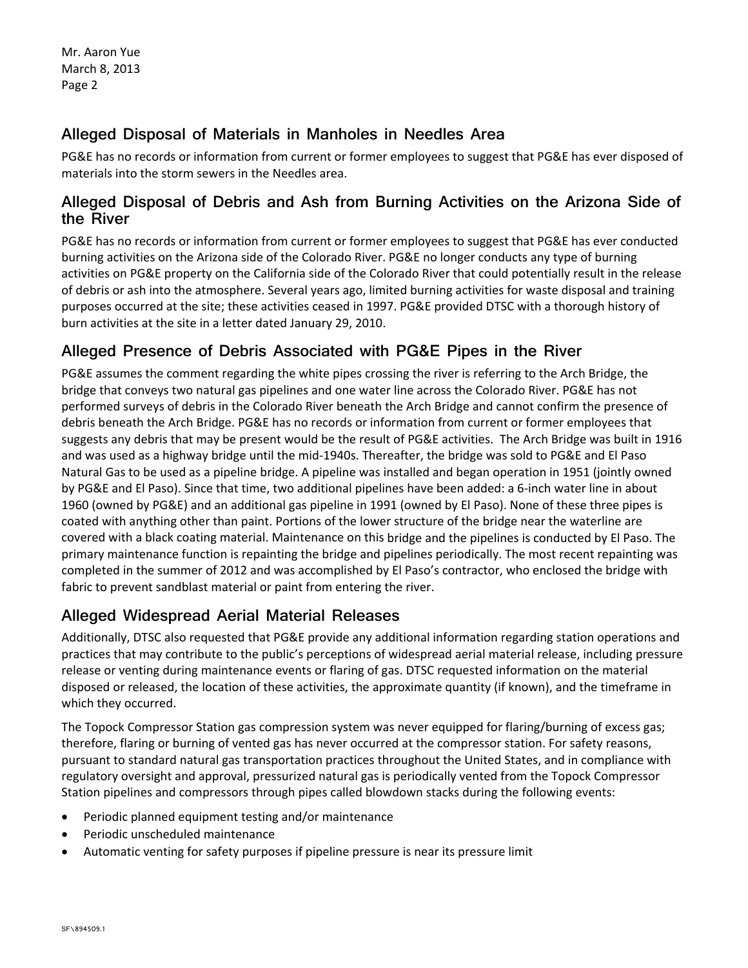Mr. Aaron Yue March 8, 2013 Page 2

## **Alleged Disposal of Materials in Manholes in Needles Area**

PG&E has no records or information from current or former employees to suggest that PG&E has ever disposed of materials into the storm sewers in the Needles area.

#### **Alleged Disposal of Debris and Ash from Burning Activities on the Arizona Side of the River**

PG&E has no records or information from current or former employees to suggest that PG&E has ever conducted burning activities on the Arizona side of the Colorado River. PG&E no longer conducts any type of burning activities on PG&E property on the California side of the Colorado River that could potentially result in the release of debris or ash into the atmosphere. Several years ago, limited burning activities for waste disposal and training purposes occurred at the site; these activities ceased in 1997. PG&E provided DTSC with a thorough history of burn activities at the site in a letter dated January 29, 2010.

# **Alleged Presence of Debris Associated with PG&E Pipes in the River**

PG&E assumes the comment regarding the white pipes crossing the river is referring to the Arch Bridge, the bridge that conveys two natural gas pipelines and one water line across the Colorado River. PG&E has not performed surveys of debris in the Colorado River beneath the Arch Bridge and cannot confirm the presence of debris beneath the Arch Bridge. PG&E has no records or information from current or former employees that suggests any debris that may be present would be the result of PG&E activities. The Arch Bridge was built in 1916 and was used as a highway bridge until the mid-1940s. Thereafter, the bridge was sold to PG&E and El Paso Natural Gas to be used as a pipeline bridge. A pipeline was installed and began operation in 1951 (jointly owned by PG&E and El Paso). Since that time, two additional pipelines have been added: a 6‐inch water line in about 1960 (owned by PG&E) and an additional gas pipeline in 1991 (owned by El Paso). None of these three pipes is coated with anything other than paint. Portions of the lower structure of the bridge near the waterline are covered with a black coating material. Maintenance on this bridge and the pipelines is conducted by El Paso. The primary maintenance function is repainting the bridge and pipelines periodically. The most recent repainting was completed in the summer of 2012 and was accomplished by El Paso's contractor, who enclosed the bridge with fabric to prevent sandblast material or paint from entering the river.

## **Alleged Widespread Aerial Material Releases**

Additionally, DTSC also requested that PG&E provide any additional information regarding station operations and practices that may contribute to the public's perceptions of widespread aerial material release, including pressure release or venting during maintenance events or flaring of gas. DTSC requested information on the material disposed or released, the location of these activities, the approximate quantity (if known), and the timeframe in which they occurred.

The Topock Compressor Station gas compression system was never equipped for flaring/burning of excess gas; therefore, flaring or burning of vented gas has never occurred at the compressor station. For safety reasons, pursuant to standard natural gas transportation practices throughout the United States, and in compliance with regulatory oversight and approval, pressurized natural gas is periodically vented from the Topock Compressor Station pipelines and compressors through pipes called blowdown stacks during the following events:

- Periodic planned equipment testing and/or maintenance
- Periodic unscheduled maintenance
- Automatic venting for safety purposes if pipeline pressure is near its pressure limit